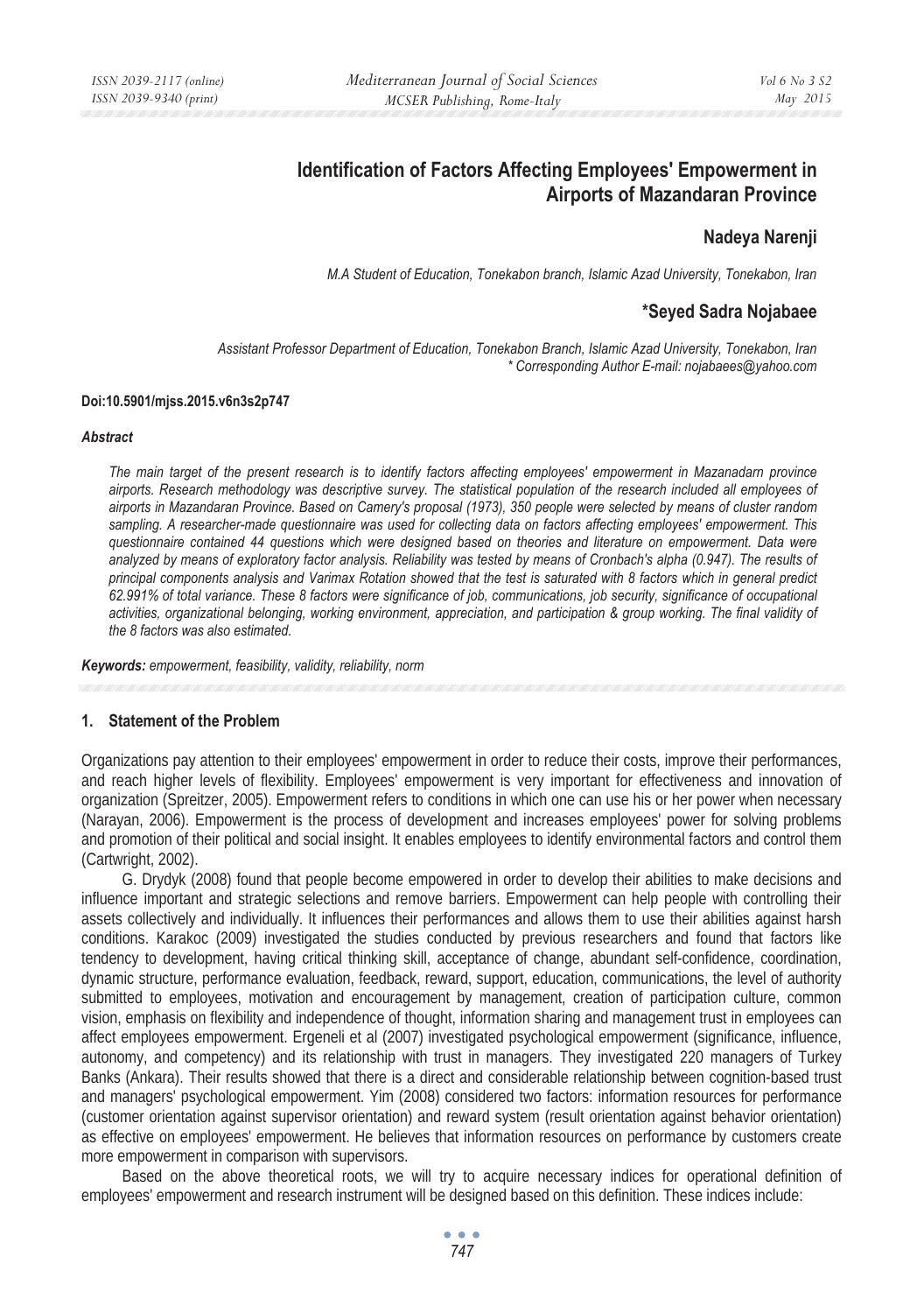# **Identification of Factors Affecting Employees' Empowerment in Airports of Mazandaran Province**

## **Nadeya Narenji**

*M.A Student of Education, Tonekabon branch, Islamic Azad University, Tonekabon, Iran* 

### **\*Seyed Sadra Nojabaee**

*Assistant Professor Department of Education, Tonekabon Branch, Islamic Azad University, Tonekabon, Iran \* Corresponding Author E-mail: nojabaees@yahoo.com*

#### **Doi:10.5901/mjss.2015.v6n3s2p747**

#### *Abstract*

*The main target of the present research is to identify factors affecting employees' empowerment in Mazanadarn province airports. Research methodology was descriptive survey. The statistical population of the research included all employees of airports in Mazandaran Province. Based on Camery's proposal (1973), 350 people were selected by means of cluster random sampling. A researcher-made questionnaire was used for collecting data on factors affecting employees' empowerment. This questionnaire contained 44 questions which were designed based on theories and literature on empowerment. Data were analyzed by means of exploratory factor analysis. Reliability was tested by means of Cronbach's alpha (0.947). The results of principal components analysis and Varimax Rotation showed that the test is saturated with 8 factors which in general predict 62.991% of total variance. These 8 factors were significance of job, communications, job security, significance of occupational activities, organizational belonging, working environment, appreciation, and participation & group working. The final validity of the 8 factors was also estimated.* 

*Keywords: empowerment, feasibility, validity, reliability, norm* 

### **1. Statement of the Problem**

Organizations pay attention to their employees' empowerment in order to reduce their costs, improve their performances, and reach higher levels of flexibility. Employees' empowerment is very important for effectiveness and innovation of organization (Spreitzer, 2005). Empowerment refers to conditions in which one can use his or her power when necessary (Narayan, 2006). Empowerment is the process of development and increases employees' power for solving problems and promotion of their political and social insight. It enables employees to identify environmental factors and control them (Cartwright, 2002).

G. Drydyk (2008) found that people become empowered in order to develop their abilities to make decisions and influence important and strategic selections and remove barriers. Empowerment can help people with controlling their assets collectively and individually. It influences their performances and allows them to use their abilities against harsh conditions. Karakoc (2009) investigated the studies conducted by previous researchers and found that factors like tendency to development, having critical thinking skill, acceptance of change, abundant self-confidence, coordination, dynamic structure, performance evaluation, feedback, reward, support, education, communications, the level of authority submitted to employees, motivation and encouragement by management, creation of participation culture, common vision, emphasis on flexibility and independence of thought, information sharing and management trust in employees can affect employees empowerment. Ergeneli et al (2007) investigated psychological empowerment (significance, influence, autonomy, and competency) and its relationship with trust in managers. They investigated 220 managers of Turkey Banks (Ankara). Their results showed that there is a direct and considerable relationship between cognition-based trust and managers' psychological empowerment. Yim (2008) considered two factors: information resources for performance (customer orientation against supervisor orientation) and reward system (result orientation against behavior orientation) as effective on employees' empowerment. He believes that information resources on performance by customers create more empowerment in comparison with supervisors.

Based on the above theoretical roots, we will try to acquire necessary indices for operational definition of employees' empowerment and research instrument will be designed based on this definition. These indices include: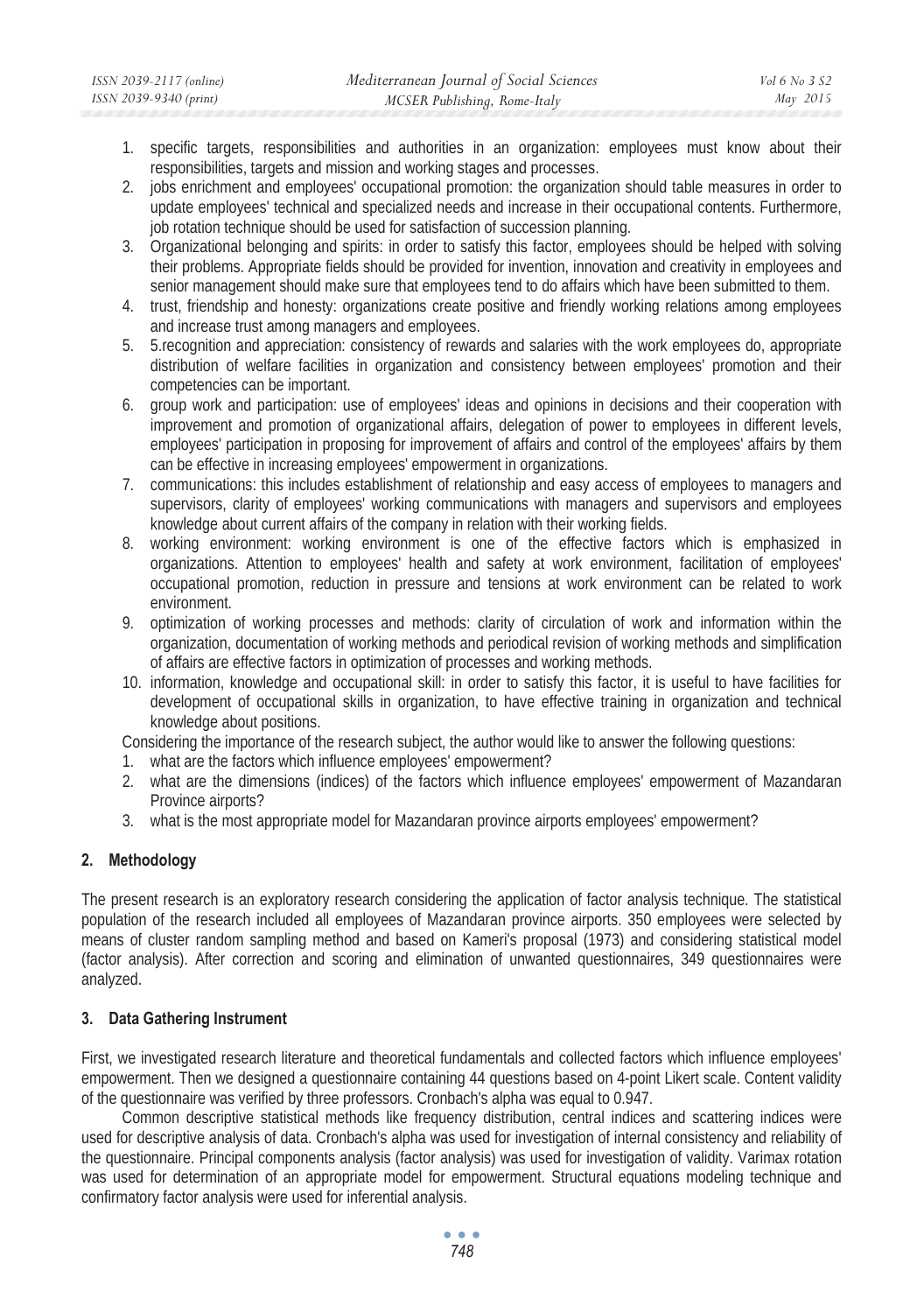- 1. specific targets, responsibilities and authorities in an organization: employees must know about their responsibilities, targets and mission and working stages and processes.
- 2. jobs enrichment and employees' occupational promotion: the organization should table measures in order to update employees' technical and specialized needs and increase in their occupational contents. Furthermore, job rotation technique should be used for satisfaction of succession planning.
- 3. Organizational belonging and spirits: in order to satisfy this factor, employees should be helped with solving their problems. Appropriate fields should be provided for invention, innovation and creativity in employees and senior management should make sure that employees tend to do affairs which have been submitted to them.
- 4. trust, friendship and honesty: organizations create positive and friendly working relations among employees and increase trust among managers and employees.
- 5. 5.recognition and appreciation: consistency of rewards and salaries with the work employees do, appropriate distribution of welfare facilities in organization and consistency between employees' promotion and their competencies can be important.
- 6. group work and participation: use of employees' ideas and opinions in decisions and their cooperation with improvement and promotion of organizational affairs, delegation of power to employees in different levels, employees' participation in proposing for improvement of affairs and control of the employees' affairs by them can be effective in increasing employees' empowerment in organizations.
- 7. communications: this includes establishment of relationship and easy access of employees to managers and supervisors, clarity of employees' working communications with managers and supervisors and employees knowledge about current affairs of the company in relation with their working fields.
- 8. working environment: working environment is one of the effective factors which is emphasized in organizations. Attention to employees' health and safety at work environment, facilitation of employees' occupational promotion, reduction in pressure and tensions at work environment can be related to work environment.
- 9. optimization of working processes and methods: clarity of circulation of work and information within the organization, documentation of working methods and periodical revision of working methods and simplification of affairs are effective factors in optimization of processes and working methods.
- 10. information, knowledge and occupational skill: in order to satisfy this factor, it is useful to have facilities for development of occupational skills in organization, to have effective training in organization and technical knowledge about positions.

Considering the importance of the research subject, the author would like to answer the following questions:

- 1. what are the factors which influence employees' empowerment?
- 2. what are the dimensions (indices) of the factors which influence employees' empowerment of Mazandaran Province airports?
- 3. what is the most appropriate model for Mazandaran province airports employees' empowerment?

## **2. Methodology**

The present research is an exploratory research considering the application of factor analysis technique. The statistical population of the research included all employees of Mazandaran province airports. 350 employees were selected by means of cluster random sampling method and based on Kameri's proposal (1973) and considering statistical model (factor analysis). After correction and scoring and elimination of unwanted questionnaires, 349 questionnaires were analyzed.

### **3. Data Gathering Instrument**

First, we investigated research literature and theoretical fundamentals and collected factors which influence employees' empowerment. Then we designed a questionnaire containing 44 questions based on 4-point Likert scale. Content validity of the questionnaire was verified by three professors. Cronbach's alpha was equal to 0.947.

Common descriptive statistical methods like frequency distribution, central indices and scattering indices were used for descriptive analysis of data. Cronbach's alpha was used for investigation of internal consistency and reliability of the questionnaire. Principal components analysis (factor analysis) was used for investigation of validity. Varimax rotation was used for determination of an appropriate model for empowerment. Structural equations modeling technique and confirmatory factor analysis were used for inferential analysis.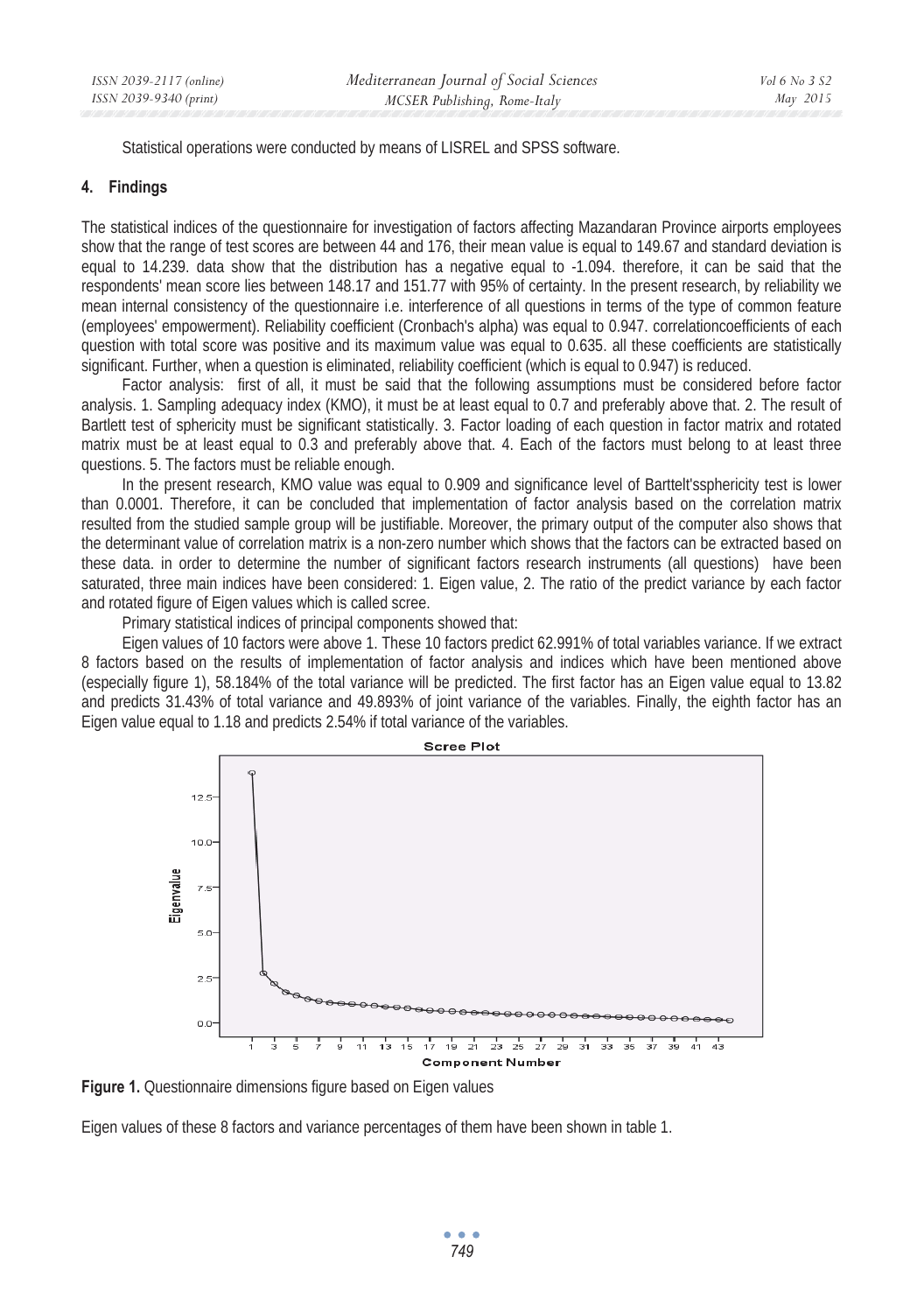Statistical operations were conducted by means of LISREL and SPSS software.

### **4. Findings**

The statistical indices of the questionnaire for investigation of factors affecting Mazandaran Province airports employees show that the range of test scores are between 44 and 176, their mean value is equal to 149.67 and standard deviation is equal to 14.239. data show that the distribution has a negative equal to -1.094. therefore, it can be said that the respondents' mean score lies between 148.17 and 151.77 with 95% of certainty. In the present research, by reliability we mean internal consistency of the questionnaire i.e. interference of all questions in terms of the type of common feature (employees' empowerment). Reliability coefficient (Cronbach's alpha) was equal to 0.947. correlationcoefficients of each question with total score was positive and its maximum value was equal to 0.635. all these coefficients are statistically significant. Further, when a question is eliminated, reliability coefficient (which is equal to 0.947) is reduced.

Factor analysis: first of all, it must be said that the following assumptions must be considered before factor analysis. 1. Sampling adequacy index (KMO), it must be at least equal to 0.7 and preferably above that. 2. The result of Bartlett test of sphericity must be significant statistically. 3. Factor loading of each question in factor matrix and rotated matrix must be at least equal to 0.3 and preferably above that. 4. Each of the factors must belong to at least three questions. 5. The factors must be reliable enough.

In the present research, KMO value was equal to 0.909 and significance level of Barttelt'ssphericity test is lower than 0.0001. Therefore, it can be concluded that implementation of factor analysis based on the correlation matrix resulted from the studied sample group will be justifiable. Moreover, the primary output of the computer also shows that the determinant value of correlation matrix is a non-zero number which shows that the factors can be extracted based on these data. in order to determine the number of significant factors research instruments (all questions) have been saturated, three main indices have been considered: 1. Eigen value, 2. The ratio of the predict variance by each factor and rotated figure of Eigen values which is called scree.

Primary statistical indices of principal components showed that:

Eigen values of 10 factors were above 1. These 10 factors predict 62.991% of total variables variance. If we extract 8 factors based on the results of implementation of factor analysis and indices which have been mentioned above (especially figure 1), 58.184% of the total variance will be predicted. The first factor has an Eigen value equal to 13.82 and predicts 31.43% of total variance and 49.893% of joint variance of the variables. Finally, the eighth factor has an Eigen value equal to 1.18 and predicts 2.54% if total variance of the variables.



**Figure 1.** Questionnaire dimensions figure based on Eigen values

Eigen values of these 8 factors and variance percentages of them have been shown in table 1.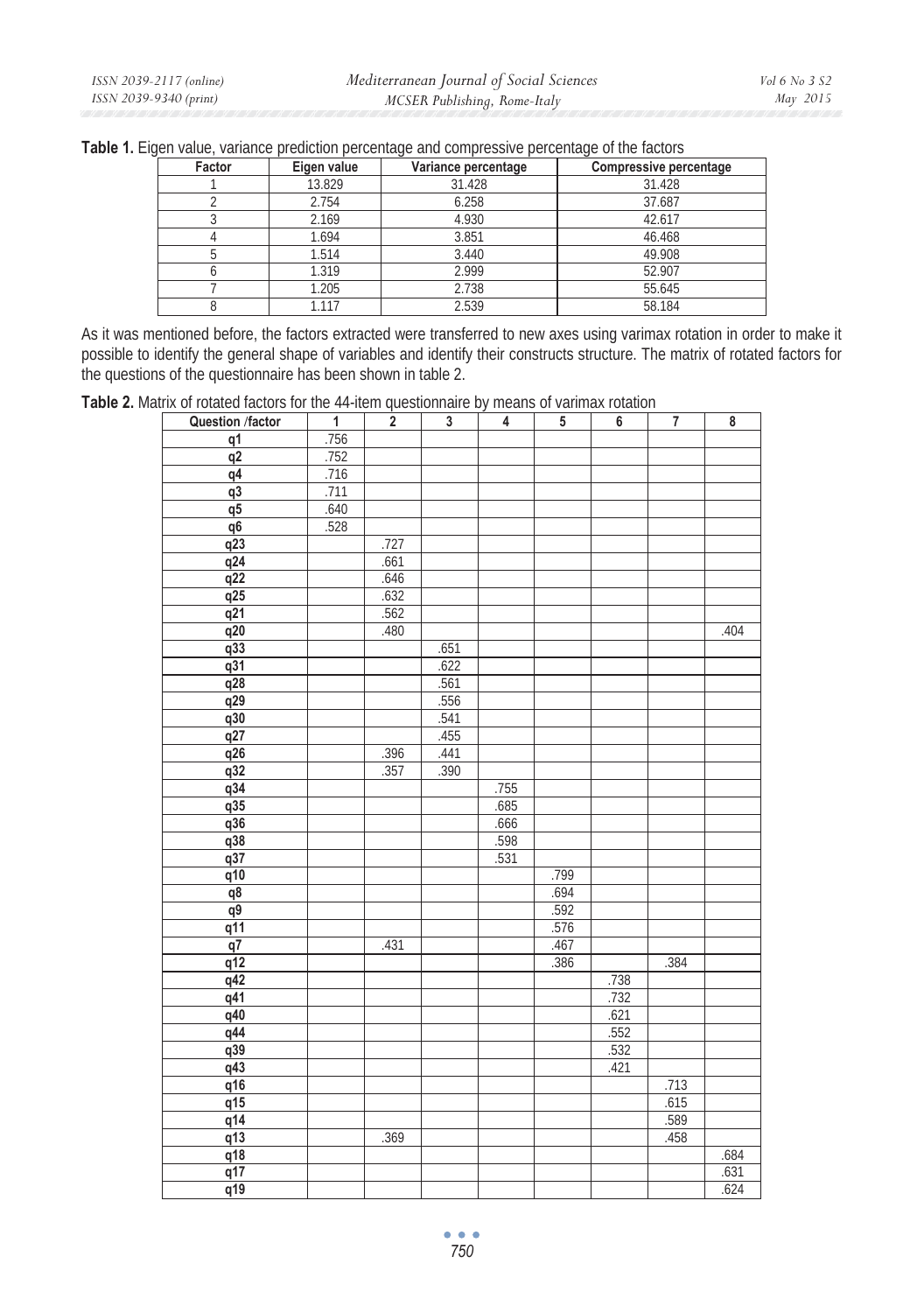|  |  | Table 1. Eigen value, variance prediction percentage and compressive percentage of the factors |
|--|--|------------------------------------------------------------------------------------------------|
|  |  |                                                                                                |

| Factor | Eigen value | Variance percentage | <b>Compressive percentage</b> |
|--------|-------------|---------------------|-------------------------------|
|        | 13.829      | 31.428              | 31.428                        |
|        | 2.754       | 6.258               | 37.687                        |
|        | 2.169       | 4.930               | 42.617                        |
|        | 1.694       | 3.851               | 46.468                        |
|        | 1.514       | 3.440               | 49.908                        |
|        | 1.319       | 2.999               | 52.907                        |
|        | 1.205       | 2.738               | 55.645                        |
|        | 1.117       | 2.539               | 58.184                        |

As it was mentioned before, the factors extracted were transferred to new axes using varimax rotation in order to make it possible to identify the general shape of variables and identify their constructs structure. The matrix of rotated factors for the questions of the questionnaire has been shown in table 2.

**Table 2.** Matrix of rotated factors for the 44-item questionnaire by means of varimax rotation

| Question /factor | $\mathbf{1}$ | $\overline{\mathbf{2}}$ | $\overline{\mathbf{3}}$ | $\overline{4}$ | $\overline{5}$ | $\overline{\mathbf{6}}$ | $\overline{7}$ | $\overline{\mathbf{8}}$ |
|------------------|--------------|-------------------------|-------------------------|----------------|----------------|-------------------------|----------------|-------------------------|
| $q\bar{1}$       | .756         |                         |                         |                |                |                         |                |                         |
| q2               | .752         |                         |                         |                |                |                         |                |                         |
| q4               | .716         |                         |                         |                |                |                         |                |                         |
| $\frac{1}{93}$   | .711         |                         |                         |                |                |                         |                |                         |
| q5               | .640         |                         |                         |                |                |                         |                |                         |
| q6               | .528         |                         |                         |                |                |                         |                |                         |
| q23              |              | .727                    |                         |                |                |                         |                |                         |
| q24              |              | .661                    |                         |                |                |                         |                |                         |
| q22              |              | .646                    |                         |                |                |                         |                |                         |
| q25              |              | .632                    |                         |                |                |                         |                |                         |
| q21              |              | .562                    |                         |                |                |                         |                |                         |
| $\frac{1}{920}$  |              | .480                    |                         |                |                |                         |                | .404                    |
| q33              |              |                         | .651                    |                |                |                         |                |                         |
| q31              |              |                         | .622                    |                |                |                         |                |                         |
| q28              |              |                         | .561                    |                |                |                         |                |                         |
| q29              |              |                         | .556                    |                |                |                         |                |                         |
| q30              |              |                         | .541                    |                |                |                         |                |                         |
| q27              |              |                         | .455                    |                |                |                         |                |                         |
| q26              |              | .396                    | .441                    |                |                |                         |                |                         |
| q32              |              | .357                    | .390                    |                |                |                         |                |                         |
| q34              |              |                         |                         | .755           |                |                         |                |                         |
| q35              |              |                         |                         | .685           |                |                         |                |                         |
| q36              |              |                         |                         | .666           |                |                         |                |                         |
| q38              |              |                         |                         | .598           |                |                         |                |                         |
| q37              |              |                         |                         | .531           |                |                         |                |                         |
| q10              |              |                         |                         |                | .799           |                         |                |                         |
| $\overline{q8}$  |              |                         |                         |                | .694           |                         |                |                         |
| q9               |              |                         |                         |                | .592           |                         |                |                         |
| q11              |              |                         |                         |                | .576           |                         |                |                         |
| $\overline{q}$   |              | .431                    |                         |                | .467           |                         |                |                         |
| q12              |              |                         |                         |                | .386           |                         | .384           |                         |
| q42              |              |                         |                         |                |                | .738                    |                |                         |
| $\frac{1}{941}$  |              |                         |                         |                |                | .732                    |                |                         |
| q40              |              |                         |                         |                |                | .621                    |                |                         |
| q44              |              |                         |                         |                |                | .552                    |                |                         |
| q39              |              |                         |                         |                |                | .532                    |                |                         |
| $\frac{1}{943}$  |              |                         |                         |                |                | .421                    |                |                         |
| q16              |              |                         |                         |                |                |                         | .713           |                         |
| q15              |              |                         |                         |                |                |                         | .615           |                         |
| $\frac{1}{914}$  |              |                         |                         |                |                |                         | .589           |                         |
| $\frac{1}{913}$  |              | .369                    |                         |                |                |                         | .458           |                         |
| q18              |              |                         |                         |                |                |                         |                | .684                    |
| $\frac{1}{917}$  |              |                         |                         |                |                |                         |                | .631                    |
| q19              |              |                         |                         |                |                |                         |                | .624                    |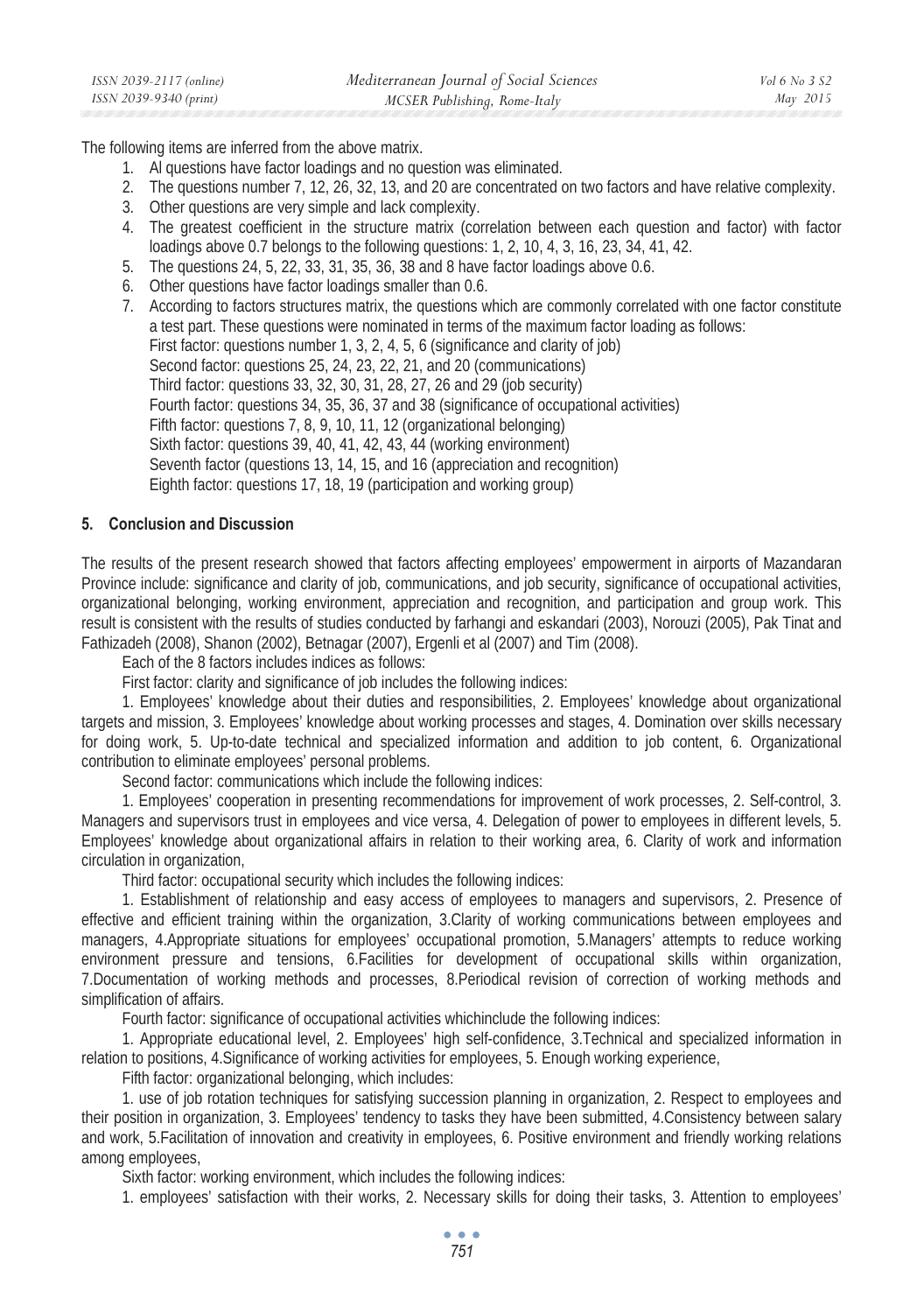| ISSN 2039-2117 (online) | Mediterranean Journal of Social Sciences | Vol 6 No 3 S2 |
|-------------------------|------------------------------------------|---------------|
| ISSN 2039-9340 (print)  | MCSER Publishing, Rome-Italy             | May 2015      |

The following items are inferred from the above matrix.

- 1. Al questions have factor loadings and no question was eliminated.
- 2. The questions number 7, 12, 26, 32, 13, and 20 are concentrated on two factors and have relative complexity.
- 3. Other questions are very simple and lack complexity.
- 4. The greatest coefficient in the structure matrix (correlation between each question and factor) with factor loadings above 0.7 belongs to the following questions: 1, 2, 10, 4, 3, 16, 23, 34, 41, 42.
- 5. The questions 24, 5, 22, 33, 31, 35, 36, 38 and 8 have factor loadings above 0.6.
- 6. Other questions have factor loadings smaller than 0.6.

7. According to factors structures matrix, the questions which are commonly correlated with one factor constitute a test part. These questions were nominated in terms of the maximum factor loading as follows: First factor: questions number 1, 3, 2, 4, 5, 6 (significance and clarity of job) Second factor: questions 25, 24, 23, 22, 21, and 20 (communications) Third factor: questions 33, 32, 30, 31, 28, 27, 26 and 29 (job security) Fourth factor: questions 34, 35, 36, 37 and 38 (significance of occupational activities) Fifth factor: questions 7, 8, 9, 10, 11, 12 (organizational belonging) Sixth factor: questions 39, 40, 41, 42, 43, 44 (working environment) Seventh factor (questions 13, 14, 15, and 16 (appreciation and recognition) Eighth factor: questions 17, 18, 19 (participation and working group)

#### **5. Conclusion and Discussion**

The results of the present research showed that factors affecting employees' empowerment in airports of Mazandaran Province include: significance and clarity of job, communications, and job security, significance of occupational activities, organizational belonging, working environment, appreciation and recognition, and participation and group work. This result is consistent with the results of studies conducted by farhangi and eskandari (2003), Norouzi (2005), Pak Tinat and Fathizadeh (2008), Shanon (2002), Betnagar (2007), Ergenli et al (2007) and Tim (2008).

Each of the 8 factors includes indices as follows:

First factor: clarity and significance of job includes the following indices:

1. Employees' knowledge about their duties and responsibilities, 2. Employees' knowledge about organizational targets and mission, 3. Employees' knowledge about working processes and stages, 4. Domination over skills necessary for doing work, 5. Up-to-date technical and specialized information and addition to job content, 6. Organizational contribution to eliminate employees' personal problems.

Second factor: communications which include the following indices:

1. Employees' cooperation in presenting recommendations for improvement of work processes, 2. Self-control, 3. Managers and supervisors trust in employees and vice versa, 4. Delegation of power to employees in different levels, 5. Employees' knowledge about organizational affairs in relation to their working area, 6. Clarity of work and information circulation in organization,

Third factor: occupational security which includes the following indices:

1. Establishment of relationship and easy access of employees to managers and supervisors, 2. Presence of effective and efficient training within the organization, 3.Clarity of working communications between employees and managers, 4.Appropriate situations for employees' occupational promotion, 5.Managers' attempts to reduce working environment pressure and tensions, 6.Facilities for development of occupational skills within organization, 7.Documentation of working methods and processes, 8.Periodical revision of correction of working methods and simplification of affairs.

Fourth factor: significance of occupational activities whichinclude the following indices:

1. Appropriate educational level, 2. Employees' high self-confidence, 3.Technical and specialized information in relation to positions, 4.Significance of working activities for employees, 5. Enough working experience,

Fifth factor: organizational belonging, which includes:

1. use of job rotation techniques for satisfying succession planning in organization, 2. Respect to employees and their position in organization, 3. Employees' tendency to tasks they have been submitted, 4.Consistency between salary and work, 5.Facilitation of innovation and creativity in employees, 6. Positive environment and friendly working relations among employees,

Sixth factor: working environment, which includes the following indices:

1. employees' satisfaction with their works, 2. Necessary skills for doing their tasks, 3. Attention to employees'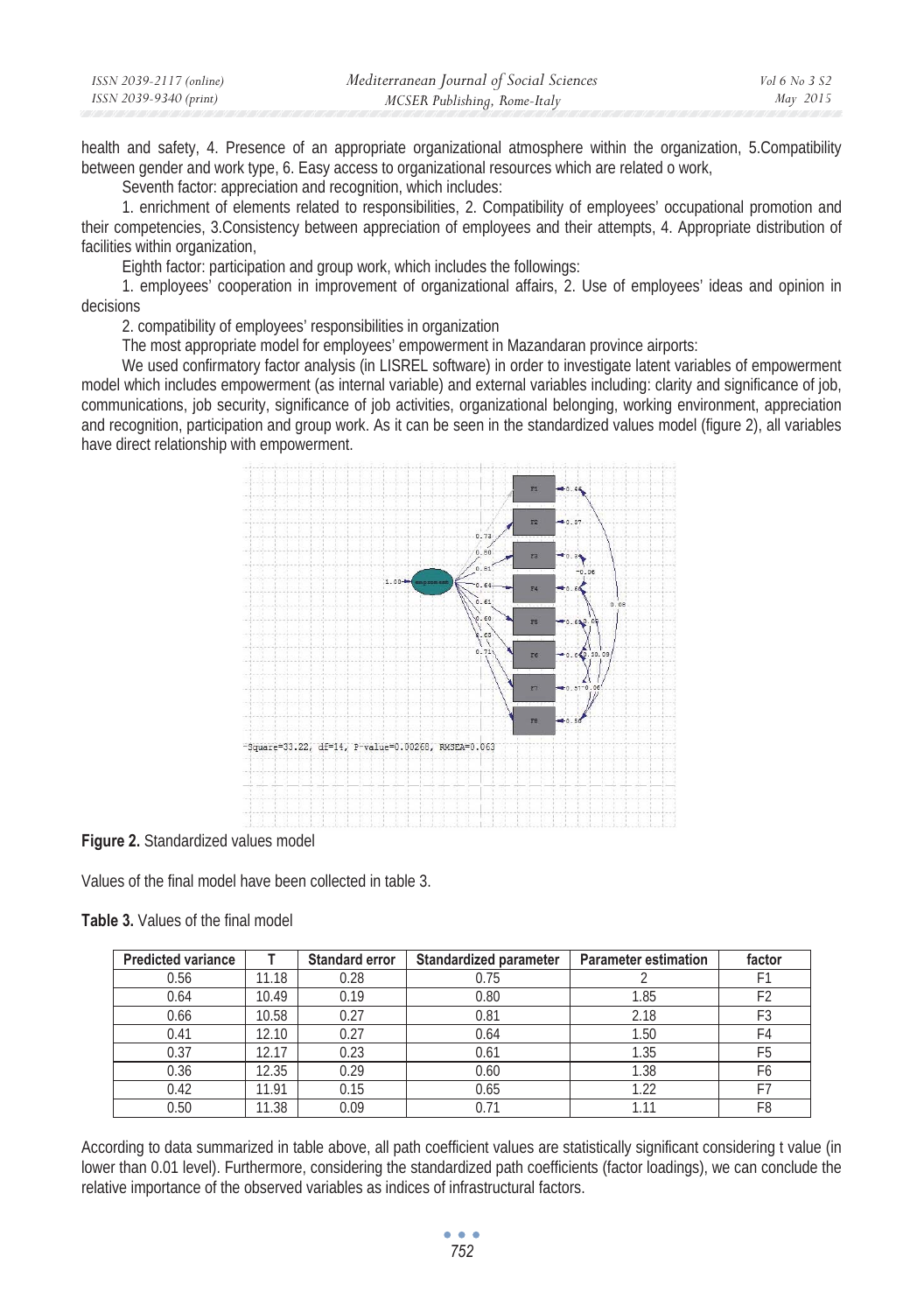| ISSN 2039-2117 (online) | Mediterranean Journal of Social Sciences | <i>Vol</i> 6 No 3 S2 |
|-------------------------|------------------------------------------|----------------------|
| ISSN 2039-9340 (print)  | MCSER Publishing, Rome-Italy             | May 2015             |

health and safety, 4. Presence of an appropriate organizational atmosphere within the organization, 5. Compatibility between gender and work type, 6. Easy access to organizational resources which are related o work,

Seventh factor: appreciation and recognition, which includes:

1. enrichment of elements related to responsibilities, 2. Compatibility of employees' occupational promotion and their competencies, 3.Consistency between appreciation of employees and their attempts, 4. Appropriate distribution of facilities within organization,

Eighth factor: participation and group work, which includes the followings:

1. employees' cooperation in improvement of organizational affairs, 2. Use of employees' ideas and opinion in decisions

2. compatibility of employees' responsibilities in organization

The most appropriate model for employees' empowerment in Mazandaran province airports:

We used confirmatory factor analysis (in LISREL software) in order to investigate latent variables of empowerment model which includes empowerment (as internal variable) and external variables including: clarity and significance of job, communications, job security, significance of job activities, organizational belonging, working environment, appreciation and recognition, participation and group work. As it can be seen in the standardized values model (figure 2), all variables have direct relationship with empowerment.



**Figure 2.** Standardized values model

Values of the final model have been collected in table 3.

**Table 3.** Values of the final model

| <b>Predicted variance</b> |       | <b>Standard error</b> | <b>Standardized parameter</b> | <b>Parameter estimation</b> | factor         |
|---------------------------|-------|-----------------------|-------------------------------|-----------------------------|----------------|
| 0.56                      | 11.18 | 0.28                  | 0.75                          |                             |                |
| 0.64                      | 10.49 | 0.19                  | 0.80                          | 1.85                        | F <sub>2</sub> |
| 0.66                      | 10.58 | 0.27                  | 0.81                          | 2.18                        | F3             |
| 0.41                      | 12.10 | 0.27                  | 0.64                          | 1.50                        | F4             |
| 0.37                      | 12.17 | 0.23                  | 0.61                          | 1.35                        | F <sub>5</sub> |
| 0.36                      | 12.35 | 0.29                  | 0.60                          | 1.38                        | F6             |
| 0.42                      | 11.91 | 0.15                  | 0.65                          | 1.22                        |                |
| 0.50                      | 11.38 | 0.09                  | 0.71                          |                             | F8             |

According to data summarized in table above, all path coefficient values are statistically significant considering t value (in lower than 0.01 level). Furthermore, considering the standardized path coefficients (factor loadings), we can conclude the relative importance of the observed variables as indices of infrastructural factors.

> $\sim$   $\sim$   $\sim$ *752*